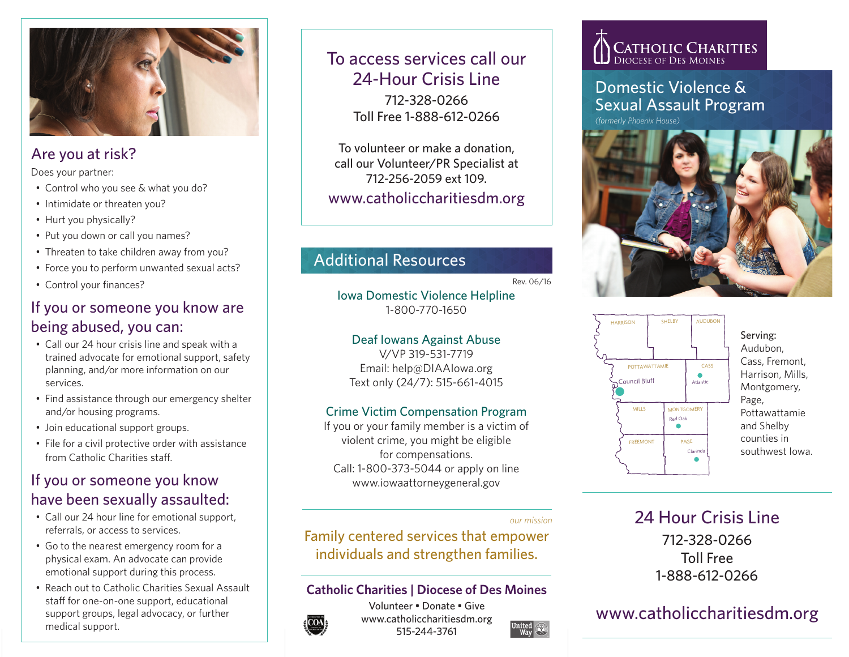

# Are you at risk?

Does your partner:

- Control who you see & what you do?
- Intimidate or threaten you?
- Hurt you physically?
- Put you down or call you names?
- Threaten to take children away from you?
- Force you to perform unwanted sexual acts?
- Control your finances?

### If you or someone you know are being abused, you can:

- Call our 24 hour crisis line and speak with a trained advocate for emotional support, safety planning, and/or more information on our services.
- Find assistance through our emergency shelter and/or housing programs.
- Join educational support groups.
- File for a civil protective order with assistance from Catholic Charities staff.

### If you or someone you know have been sexually assaulted:

- Call our 24 hour line for emotional support, referrals, or access to services.
- Go to the nearest emergency room for a physical exam. An advocate can provide emotional support during this process.
- Reach out to Catholic Charities Sexual Assault staff for one-on-one support, educational support groups, legal advocacy, or further medical support.

# To access services call our 24-Hour Crisis Line 712-328-0266 Toll Free 1-888-612-0266

To volunteer or make a donation, call our Volunteer/PR Specialist at 712-256-2059 ext 109. www.catholiccharitiesdm.org

# Additional Resources

Rev. 06/16

Iowa Domestic Violence Helpline 1-800-770-1650

Deaf Iowans Against Abuse V/VP 319-531-7719 Email: help@DIAAIowa.org Text only (24/7): 515-661-4015

### Crime Victim Compensation Program

If you or your family member is a victim of violent crime, you might be eligible for compensations. Call: 1-800-373-5044 or apply on line www.iowaattorneygeneral.gov

#### *our mission*

Family centered services that empower individuals and strengthen families.

### **Catholic Charities | Diocese of Des Moines**



Volunteer • Donate • Give www.catholiccharitiesdm.org 515-244-3761

# **CATHOLIC CHARITIES**

### Domestic Violence & Sexual Assault Program

*(formerly Phoenix House)*





Serving: Audubon, Cass, Fremont, Harrison, Mills, Montgomery, Page, Pottawattamie and Shelby counties in southwest Iowa.

24 Hour Crisis Line 712-328-0266 Toll Free 1-888-612-0266

# www.catholiccharitiesdm.org